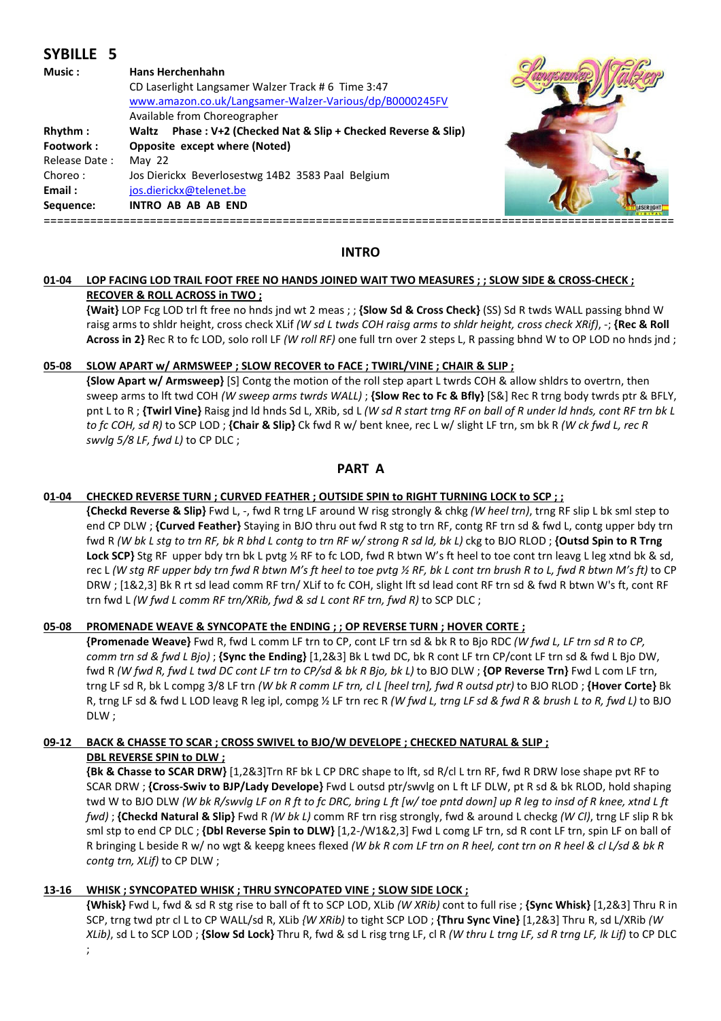# **SYBILLE 5**

| Music:        | Hans Herchenhahn<br>CD Laserlight Langsamer Walzer Track # 6 Time 3:47<br>www.amazon.co.uk/Langsamer-Walzer-Various/dp/B0000245FV<br>Available from Choreographer |                   |
|---------------|-------------------------------------------------------------------------------------------------------------------------------------------------------------------|-------------------|
| Rhythm:       | Waltz Phase: V+2 (Checked Nat & Slip + Checked Reverse & Slip)                                                                                                    |                   |
| Footwork:     | Opposite except where (Noted)                                                                                                                                     |                   |
| Release Date: | May $22$                                                                                                                                                          |                   |
| Choreo:       | Jos Dierickx Beverlosestwg 14B2 3583 Paal Belgium                                                                                                                 |                   |
| Email:        | jos.dierickx@telenet.be                                                                                                                                           |                   |
| Sequence:     | <b>INTRO AB AB AB END</b>                                                                                                                                         | <b>IASERIIGHT</b> |



# **INTRO**

# **01-04 LOP FACING LOD TRAIL FOOT FREE NO HANDS JOINED WAIT TWO MEASURES ; ; SLOW SIDE & CROSS-CHECK ; RECOVER & ROLL ACROSS in TWO ;**

 **{Wait}** LOP Fcg LOD trl ft free no hnds jnd wt 2 meas ; ; **{Slow Sd & Cross Check}** (SS) Sd R twds WALL passing bhnd W raisg arms to shldr height, cross check XLif *(W sd L twds COH raisg arms to shldr height, cross check XRif)*, -; **{Rec & Roll Across in 2}** Rec R to fc LOD, solo roll LF *(W roll RF)* one full trn over 2 steps L, R passing bhnd W to OP LOD no hnds jnd ;

### **05-08 SLOW APART w/ ARMSWEEP ; SLOW RECOVER to FACE ; TWIRL/VINE ; CHAIR & SLIP ;**

 **{Slow Apart w/ Armsweep}** [S] Contg the motion of the roll step apart L twrds COH & allow shldrs to overtrn, then sweep arms to lft twd COH *(W sweep arms twrds WALL)* ; **{Slow Rec to Fc & Bfly}** [S&] Rec R trng body twrds ptr & BFLY, pnt L to R ; **{Twirl Vine}** Raisg jnd ld hnds Sd L, XRib, sd L *(W sd R start trng RF on ball of R under ld hnds, cont RF trn bk L to fc COH, sd R)* to SCP LOD ; **{Chair & Slip}** Ck fwd R w/ bent knee, rec L w/ slight LF trn, sm bk R *(W ck fwd L, rec R swvlg 5/8 LF, fwd L)* to CP DLC ;

# **PART A**

# **01-04 CHECKED REVERSE TURN ; CURVED FEATHER ; OUTSIDE SPIN to RIGHT TURNING LOCK to SCP ; ;**

 **{Checkd Reverse & Slip}** Fwd L, -, fwd R trng LF around W risg strongly & chkg *(W heel trn)*, trng RF slip L bk sml step to end CP DLW ; **{Curved Feather}** Staying in BJO thru out fwd R stg to trn RF, contg RF trn sd & fwd L, contg upper bdy trn fwd R (W bk L stg to trn RF, bk R bhd L contg to trn RF w/ strong R sd ld, bk L) ckg to BJO RLOD; {Outsd Spin to R Trng  **Lock SCP}** Stg RF upper bdy trn bk L pvtg ½ RF to fc LOD, fwd R btwn W's ft heel to toe cont trn leavg L leg xtnd bk & sd, rec L *(W stg RF upper bdy trn fwd R btwn M's ft heel to toe pvtg ½ RF, bk L cont trn brush R to L, fwd R btwn M's ft)* to CP DRW ; [1&2,3] Bk R rt sd lead comm RF trn/ XLif to fc COH, slight lft sd lead cont RF trn sd & fwd R btwn W's ft, cont RF trn fwd L *(W fwd L comm RF trn/XRib, fwd & sd L cont RF trn, fwd R)* to SCP DLC ;

#### **05-08 PROMENADE WEAVE & SYNCOPATE the ENDING ; ; OP REVERSE TURN ; HOVER CORTE ;**

 **{Promenade Weave}** Fwd R, fwd L comm LF trn to CP, cont LF trn sd & bk R to Bjo RDC *(W fwd L, LF trn sd R to CP, comm trn sd & fwd L Bjo)* ; **{Sync the Ending}** [1,2&3] Bk L twd DC, bk R cont LF trn CP/cont LF trn sd & fwd L Bjo DW, fwd R *(W fwd R, fwd L twd DC cont LF trn to CP/sd & bk R Bjo, bk L)* to BJO DLW ; **{OP Reverse Trn}** Fwd L com LF trn, trng LF sd R, bk L compg 3/8 LF trn *(W bk R comm LF trn, cl L [heel trn], fwd R outsd ptr)* to BJO RLOD ; **{Hover Corte}** Bk R, trng LF sd & fwd L LOD leavg R leg ipl, compg ½ LF trn rec R *(W fwd L, trng LF sd & fwd R & brush L to R, fwd L)* to BJO DLW ;

#### **09-12 BACK & CHASSE TO SCAR ; CROSS SWIVEL to BJO/W DEVELOPE ; CHECKED NATURAL & SLIP ; DBL REVERSE SPIN to DLW ;**

 **{Bk & Chasse to SCAR DRW}** [1,2&3]Trn RF bk L CP DRC shape to lft, sd R/cl L trn RF, fwd R DRW lose shape pvt RF to SCAR DRW ; **{Cross-Swiv to BJP/Lady Develope}** Fwd L outsd ptr/swvlg on L ft LF DLW, pt R sd & bk RLOD, hold shaping twd W to BJO DLW *(W bk R/swvlg LF on R ft to fc DRC, bring L ft [w/ toe pntd down] up R leg to insd of R knee, xtnd L ft fwd)* ; **{Checkd Natural & Slip}** Fwd R *(W bk L)* comm RF trn risg strongly, fwd & around L checkg *(W Cl)*, trng LF slip R bk sml stp to end CP DLC ; **{Dbl Reverse Spin to DLW}** [1,2-/W1&2,3] Fwd L comg LF trn, sd R cont LF trn, spin LF on ball of R bringing L beside R w/ no wgt & keepg knees flexed *(W bk R com LF trn on R heel, cont trn on R heel & cl L/sd & bk R contg trn, XLif)* to CP DLW ;

# **13-16 WHISK ; SYNCOPATED WHISK ; THRU SYNCOPATED VINE ; SLOW SIDE LOCK ;**

 **{Whisk}** Fwd L, fwd & sd R stg rise to ball of ft to SCP LOD, XLib *(W XRib)* cont to full rise ; **{Sync Whisk}** [1,2&3] Thru R in SCP, trng twd ptr cl L to CP WALL/sd R, XLib *{W XRib)* to tight SCP LOD ; **{Thru Sync Vine}** [1,2&3] Thru R, sd L/XRib *(W XLib)*, sd L to SCP LOD ; **{Slow Sd Lock}** Thru R, fwd & sd L risg trng LF, cl R *(W thru L trng LF, sd R trng LF, lk Lif)* to CP DLC  $\mathbf{z}$